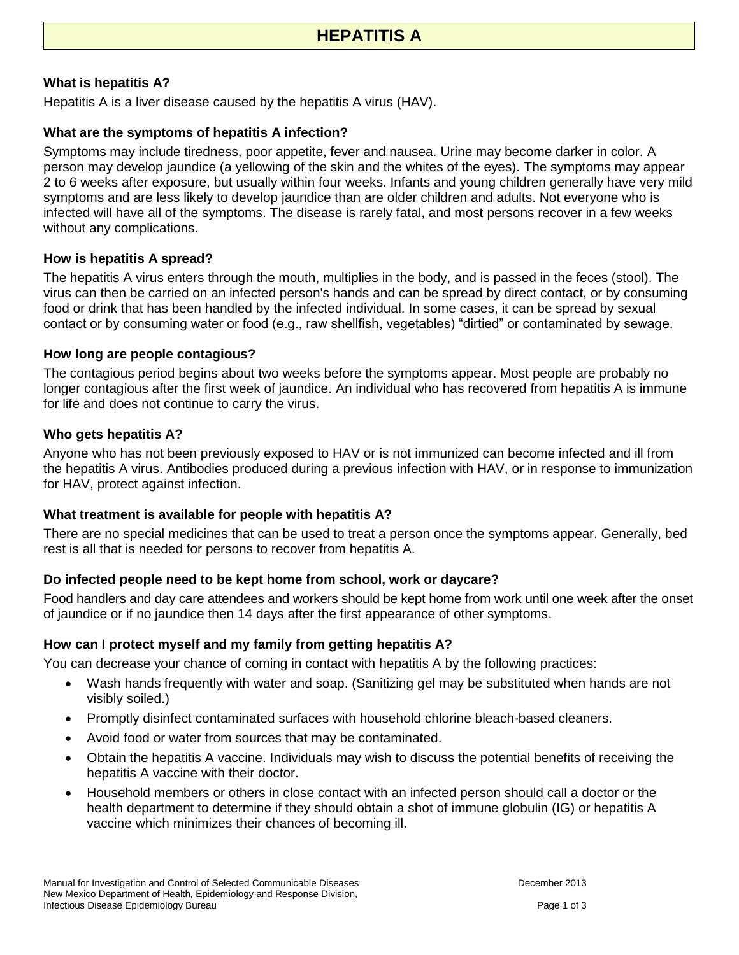# **What is hepatitis A?**

Hepatitis A is a liver disease caused by the hepatitis A virus (HAV).

# **What are the symptoms of hepatitis A infection?**

Symptoms may include tiredness, poor appetite, fever and nausea. Urine may become darker in color. A person may develop jaundice (a yellowing of the skin and the whites of the eyes). The symptoms may appear 2 to 6 weeks after exposure, but usually within four weeks. Infants and young children generally have very mild symptoms and are less likely to develop jaundice than are older children and adults. Not everyone who is infected will have all of the symptoms. The disease is rarely fatal, and most persons recover in a few weeks without any complications.

# **How is hepatitis A spread?**

The hepatitis A virus enters through the mouth, multiplies in the body, and is passed in the feces (stool). The virus can then be carried on an infected person's hands and can be spread by direct contact, or by consuming food or drink that has been handled by the infected individual. In some cases, it can be spread by sexual contact or by consuming water or food (e.g., raw shellfish, vegetables) "dirtied" or contaminated by sewage.

## **How long are people contagious?**

The contagious period begins about two weeks before the symptoms appear. Most people are probably no longer contagious after the first week of jaundice. An individual who has recovered from hepatitis A is immune for life and does not continue to carry the virus.

## **Who gets hepatitis A?**

Anyone who has not been previously exposed to HAV or is not immunized can become infected and ill from the hepatitis A virus. Antibodies produced during a previous infection with HAV, or in response to immunization for HAV, protect against infection.

## **What treatment is available for people with hepatitis A?**

There are no special medicines that can be used to treat a person once the symptoms appear. Generally, bed rest is all that is needed for persons to recover from hepatitis A.

# **Do infected people need to be kept home from school, work or daycare?**

Food handlers and day care attendees and workers should be kept home from work until one week after the onset of jaundice or if no jaundice then 14 days after the first appearance of other symptoms.

# **How can I protect myself and my family from getting hepatitis A?**

You can decrease your chance of coming in contact with hepatitis A by the following practices:

- Wash hands frequently with water and soap. (Sanitizing gel may be substituted when hands are not visibly soiled.)
- Promptly disinfect contaminated surfaces with household chlorine bleach-based cleaners.
- Avoid food or water from sources that may be contaminated.
- Obtain the hepatitis A vaccine. Individuals may wish to discuss the potential benefits of receiving the hepatitis A vaccine with their doctor.
- Household members or others in close contact with an infected person should call a doctor or the health department to determine if they should obtain a shot of immune globulin (IG) or hepatitis A vaccine which minimizes their chances of becoming ill.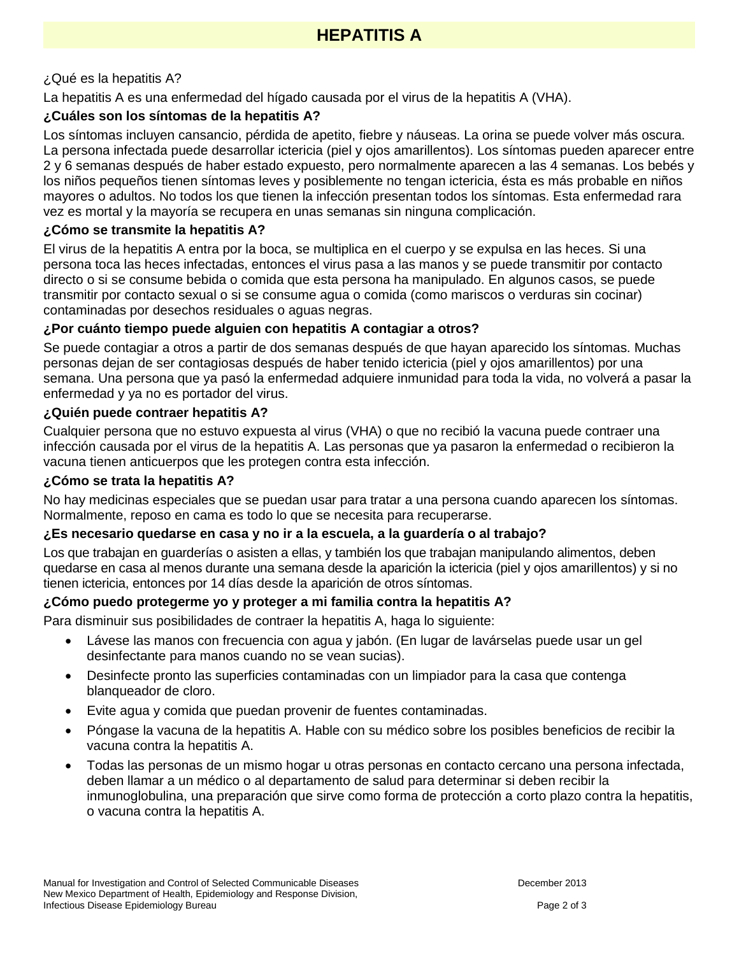# ¿Qué es la hepatitis A?

La hepatitis A es una enfermedad del hígado causada por el virus de la hepatitis A (VHA).

# **¿Cuáles son los síntomas de la hepatitis A?**

Los síntomas incluyen cansancio, pérdida de apetito, fiebre y náuseas. La orina se puede volver más oscura. La persona infectada puede desarrollar ictericia (piel y ojos amarillentos). Los síntomas pueden aparecer entre 2 y 6 semanas después de haber estado expuesto, pero normalmente aparecen a las 4 semanas. Los bebés y los niños pequeños tienen síntomas leves y posiblemente no tengan ictericia, ésta es más probable en niños mayores o adultos. No todos los que tienen la infección presentan todos los síntomas. Esta enfermedad rara vez es mortal y la mayoría se recupera en unas semanas sin ninguna complicación.

#### **¿Cómo se transmite la hepatitis A?**

El virus de la hepatitis A entra por la boca, se multiplica en el cuerpo y se expulsa en las heces. Si una persona toca las heces infectadas, entonces el virus pasa a las manos y se puede transmitir por contacto directo o si se consume bebida o comida que esta persona ha manipulado. En algunos casos, se puede transmitir por contacto sexual o si se consume agua o comida (como mariscos o verduras sin cocinar) contaminadas por desechos residuales o aguas negras.

#### **¿Por cuánto tiempo puede alguien con hepatitis A contagiar a otros?**

Se puede contagiar a otros a partir de dos semanas después de que hayan aparecido los síntomas. Muchas personas dejan de ser contagiosas después de haber tenido ictericia (piel y ojos amarillentos) por una semana. Una persona que ya pasó la enfermedad adquiere inmunidad para toda la vida, no volverá a pasar la enfermedad y ya no es portador del virus.

## **¿Quién puede contraer hepatitis A?**

Cualquier persona que no estuvo expuesta al virus (VHA) o que no recibió la vacuna puede contraer una infección causada por el virus de la hepatitis A. Las personas que ya pasaron la enfermedad o recibieron la vacuna tienen anticuerpos que les protegen contra esta infección.

#### **¿Cómo se trata la hepatitis A?**

No hay medicinas especiales que se puedan usar para tratar a una persona cuando aparecen los síntomas. Normalmente, reposo en cama es todo lo que se necesita para recuperarse.

## **¿Es necesario quedarse en casa y no ir a la escuela, a la guardería o al trabajo?**

Los que trabajan en guarderías o asisten a ellas, y también los que trabajan manipulando alimentos, deben quedarse en casa al menos durante una semana desde la aparición la ictericia (piel y ojos amarillentos) y si no tienen ictericia, entonces por 14 días desde la aparición de otros síntomas.

## **¿Cómo puedo protegerme yo y proteger a mi familia contra la hepatitis A?**

Para disminuir sus posibilidades de contraer la hepatitis A, haga lo siguiente:

- Lávese las manos con frecuencia con agua y jabón. (En lugar de lavárselas puede usar un gel desinfectante para manos cuando no se vean sucias).
- Desinfecte pronto las superficies contaminadas con un limpiador para la casa que contenga blanqueador de cloro.
- Evite agua y comida que puedan provenir de fuentes contaminadas.
- Póngase la vacuna de la hepatitis A. Hable con su médico sobre los posibles beneficios de recibir la vacuna contra la hepatitis A.
- Todas las personas de un mismo hogar u otras personas en contacto cercano una persona infectada, deben llamar a un médico o al departamento de salud para determinar si deben recibir la inmunoglobulina, una preparación que sirve como forma de protección a corto plazo contra la hepatitis, o vacuna contra la hepatitis A.